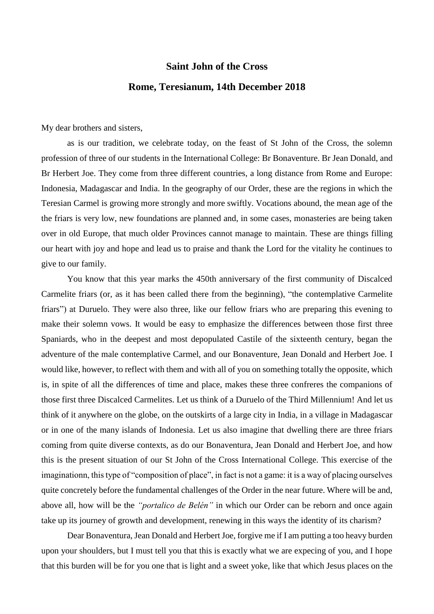## **Saint John of the Cross Rome, Teresianum, 14th December 2018**

My dear brothers and sisters,

as is our tradition, we celebrate today, on the feast of St John of the Cross, the solemn profession of three of our students in the International College: Br Bonaventure. Br Jean Donald, and Br Herbert Joe. They come from three different countries, a long distance from Rome and Europe: Indonesia, Madagascar and India. In the geography of our Order, these are the regions in which the Teresian Carmel is growing more strongly and more swiftly. Vocations abound, the mean age of the the friars is very low, new foundations are planned and, in some cases, monasteries are being taken over in old Europe, that much older Provinces cannot manage to maintain. These are things filling our heart with joy and hope and lead us to praise and thank the Lord for the vitality he continues to give to our family.

You know that this year marks the 450th anniversary of the first community of Discalced Carmelite friars (or, as it has been called there from the beginning), "the contemplative Carmelite friars") at Duruelo. They were also three, like our fellow friars who are preparing this evening to make their solemn vows. It would be easy to emphasize the differences between those first three Spaniards, who in the deepest and most depopulated Castile of the sixteenth century, began the adventure of the male contemplative Carmel, and our Bonaventure, Jean Donald and Herbert Joe. I would like, however, to reflect with them and with all of you on something totally the opposite, which is, in spite of all the differences of time and place, makes these three confreres the companions of those first three Discalced Carmelites. Let us think of a Duruelo of the Third Millennium! And let us think of it anywhere on the globe, on the outskirts of a large city in India, in a village in Madagascar or in one of the many islands of Indonesia. Let us also imagine that dwelling there are three friars coming from quite diverse contexts, as do our Bonaventura, Jean Donald and Herbert Joe, and how this is the present situation of our St John of the Cross International College. This exercise of the imaginationn, this type of "composition of place", in fact is not a game: it is a way of placing ourselves quite concretely before the fundamental challenges of the Order in the near future. Where will be and, above all, how will be the *"portalico de Belén"* in which our Order can be reborn and once again take up its journey of growth and development, renewing in this ways the identity of its charism?

Dear Bonaventura, Jean Donald and Herbert Joe, forgive me if I am putting a too heavy burden upon your shoulders, but I must tell you that this is exactly what we are expecing of you, and I hope that this burden will be for you one that is light and a sweet yoke, like that which Jesus places on the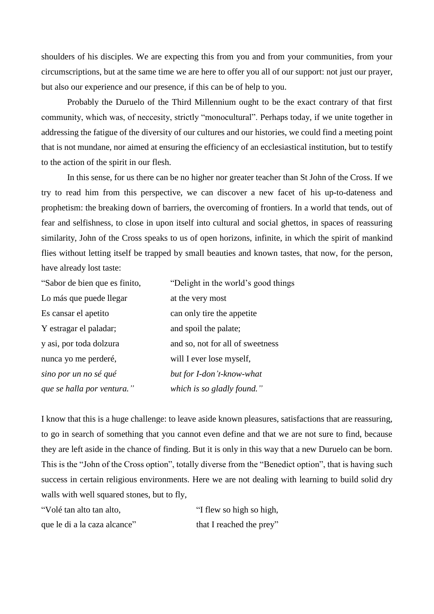shoulders of his disciples. We are expecting this from you and from your communities, from your circumscriptions, but at the same time we are here to offer you all of our support: not just our prayer, but also our experience and our presence, if this can be of help to you.

Probably the Duruelo of the Third Millennium ought to be the exact contrary of that first community, which was, of neccesity, strictly "monocultural". Perhaps today, if we unite together in addressing the fatigue of the diversity of our cultures and our histories, we could find a meeting point that is not mundane, nor aimed at ensuring the efficiency of an ecclesiastical institution, but to testify to the action of the spirit in our flesh.

In this sense, for us there can be no higher nor greater teacher than St John of the Cross. If we try to read him from this perspective, we can discover a new facet of his up-to-dateness and prophetism: the breaking down of barriers, the overcoming of frontiers. In a world that tends, out of fear and selfishness, to close in upon itself into cultural and social ghettos, in spaces of reassuring similarity, John of the Cross speaks to us of open horizons, infinite, in which the spirit of mankind flies without letting itself be trapped by small beauties and known tastes, that now, for the person, have already lost taste:

| "Sabor de bien que es finito, | "Delight in the world's good things |
|-------------------------------|-------------------------------------|
| Lo más que puede llegar       | at the very most                    |
| Es cansar el apetito          | can only tire the appetite          |
| Y estragar el paladar;        | and spoil the palate;               |
| y asi, por toda dolzura       | and so, not for all of sweetness    |
| nunca yo me perderé,          | will I ever lose myself,            |
| sino por un no sé qué         | but for I-don't-know-what           |
| que se halla por ventura."    | which is so gladly found."          |

I know that this is a huge challenge: to leave aside known pleasures, satisfactions that are reassuring, to go in search of something that you cannot even define and that we are not sure to find, because they are left aside in the chance of finding. But it is only in this way that a new Duruelo can be born. This is the "John of the Cross option", totally diverse from the "Benedict option", that is having such success in certain religious environments. Here we are not dealing with learning to build solid dry walls with well squared stones, but to fly,

| "Volé tan alto tan alto,     | "I flew so high so high, |
|------------------------------|--------------------------|
| que le di a la caza alcance" | that I reached the prey" |